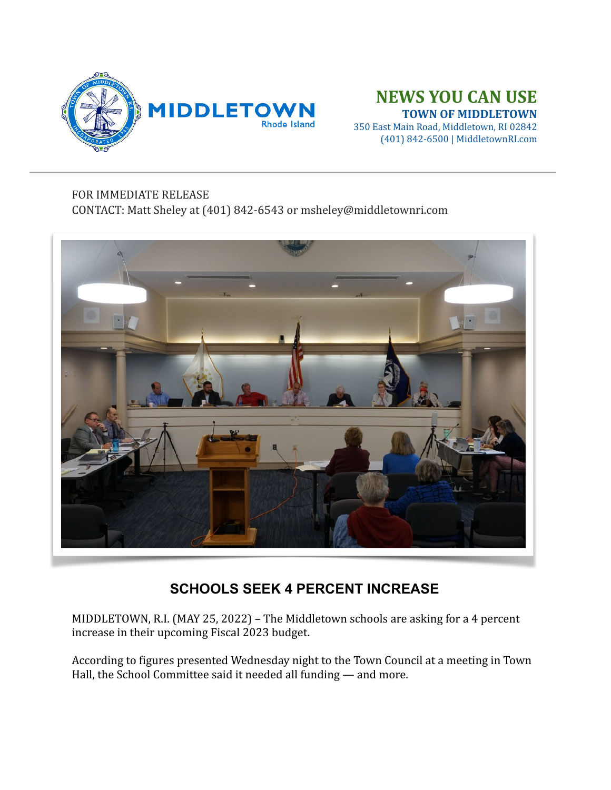

## **NEWS YOU CAN USE TOWN OF MIDDLETOWN**

350 East Main Road, Middletown, RI 02842 (401) 842-6500 | MiddletownRI.com

## FOR IMMEDIATE RELEASE

CONTACT: Matt Sheley at (401) 842-6543 or msheley@middletownri.com



## **SCHOOLS SEEK 4 PERCENT INCREASE**

MIDDLETOWN, R.I. (MAY 25, 2022) - The Middletown schools are asking for a 4 percent increase in their upcoming Fiscal 2023 budget.

According to figures presented Wednesday night to the Town Council at a meeting in Town Hall, the School Committee said it needed all funding  $-$  and more.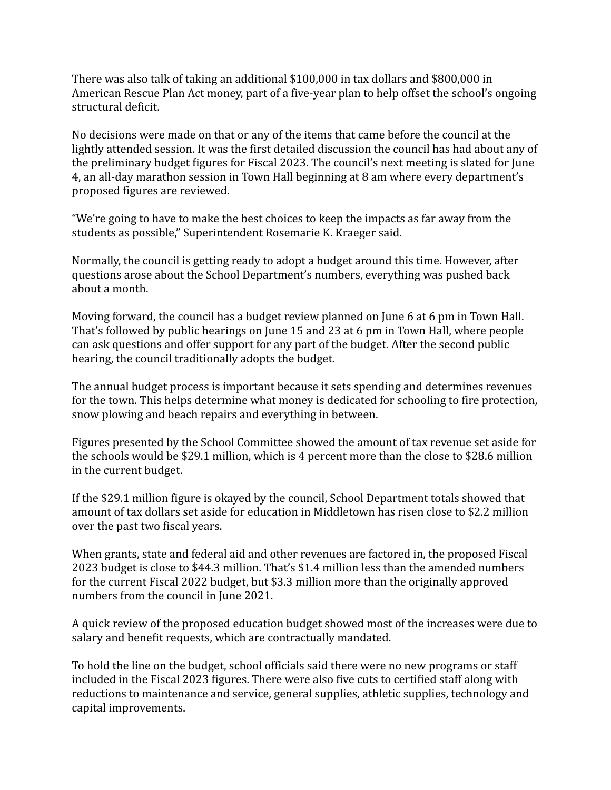There was also talk of taking an additional  $$100,000$  in tax dollars and  $$800,000$  in American Rescue Plan Act money, part of a five-year plan to help offset the school's ongoing structural deficit.

No decisions were made on that or any of the items that came before the council at the lightly attended session. It was the first detailed discussion the council has had about any of the preliminary budget figures for Fiscal 2023. The council's next meeting is slated for June 4, an all-day marathon session in Town Hall beginning at 8 am where every department's proposed figures are reviewed.

"We're going to have to make the best choices to keep the impacts as far away from the students as possible," Superintendent Rosemarie K. Kraeger said.

Normally, the council is getting ready to adopt a budget around this time. However, after questions arose about the School Department's numbers, everything was pushed back about a month.

Moving forward, the council has a budget review planned on June 6 at 6 pm in Town Hall. That's followed by public hearings on June 15 and 23 at 6 pm in Town Hall, where people can ask questions and offer support for any part of the budget. After the second public hearing, the council traditionally adopts the budget.

The annual budget process is important because it sets spending and determines revenues for the town. This helps determine what money is dedicated for schooling to fire protection, snow plowing and beach repairs and everything in between.

Figures presented by the School Committee showed the amount of tax revenue set aside for the schools would be \$29.1 million, which is 4 percent more than the close to \$28.6 million in the current budget.

If the \$29.1 million figure is okayed by the council, School Department totals showed that amount of tax dollars set aside for education in Middletown has risen close to \$2.2 million over the past two fiscal years.

When grants, state and federal aid and other revenues are factored in, the proposed Fiscal 2023 budget is close to \$44.3 million. That's \$1.4 million less than the amended numbers for the current Fiscal 2022 budget, but \$3.3 million more than the originally approved numbers from the council in June 2021.

A quick review of the proposed education budget showed most of the increases were due to salary and benefit requests, which are contractually mandated.

To hold the line on the budget, school officials said there were no new programs or staff included in the Fiscal 2023 figures. There were also five cuts to certified staff along with reductions to maintenance and service, general supplies, athletic supplies, technology and capital improvements.